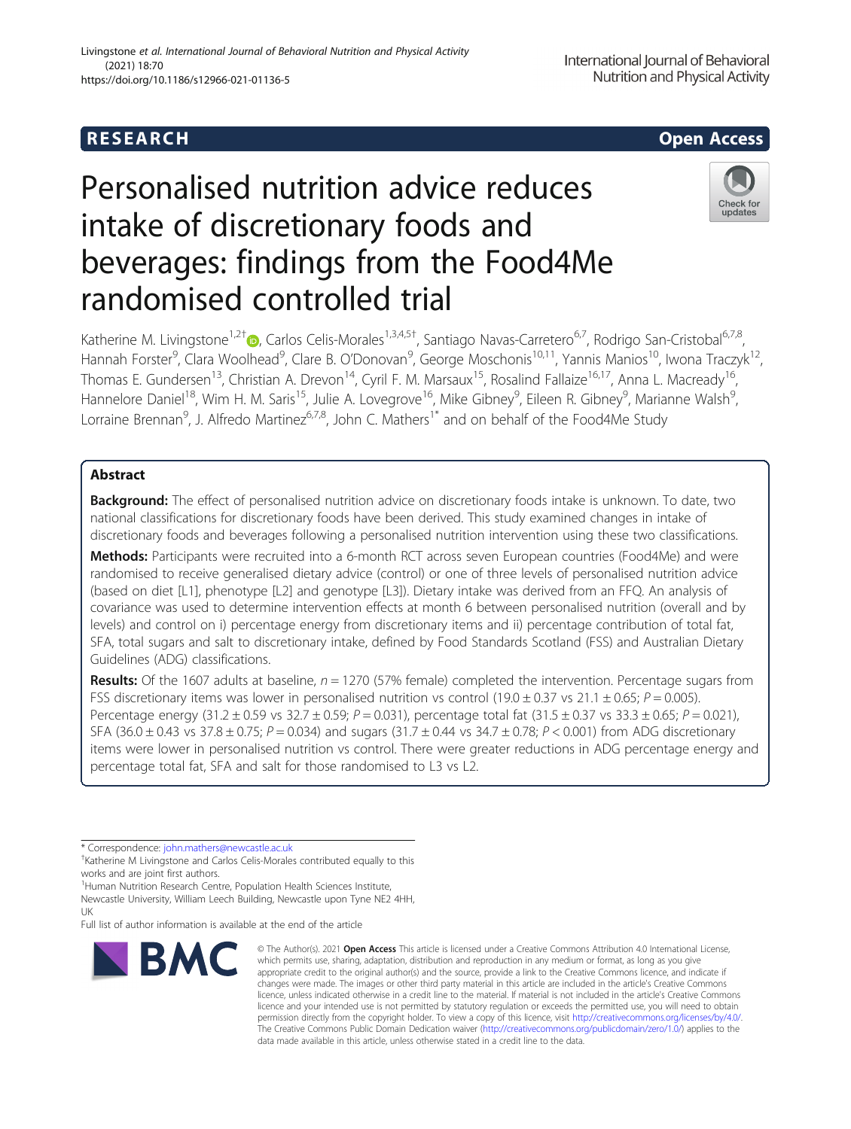# Personalised nutrition advice reduces intake of discretionary foods and beverages: findings from the Food4Me randomised controlled trial



Katherine M. Livingstone<sup>1,2†</sup> D, Carlos Celis-Morales<sup>1,3,4,5†</sup>, Santiago Navas-Carretero<sup>6,7</sup>, Rodrigo San-Cristobal<sup>6,7,8</sup>, Hannah Forster<sup>9</sup>, Clara Woolhead<sup>9</sup>, Clare B. O'Donovan<sup>9</sup>, George Moschonis<sup>10,11</sup>, Yannis Manios<sup>10</sup>, Iwona Traczyk<sup>12</sup>, Thomas E. Gundersen<sup>13</sup>, Christian A. Drevon<sup>14</sup>, Cyril F. M. Marsaux<sup>15</sup>, Rosalind Fallaize<sup>16,17</sup>, Anna L. Macready<sup>16</sup>, Hannelore Daniel<sup>18</sup>, Wim H. M. Saris<sup>15</sup>, Julie A. Lovegrove<sup>16</sup>, Mike Gibney<sup>9</sup>, Eileen R. Gibney<sup>9</sup>, Marianne Walsh<sup>9</sup> , Lorraine Brennan<sup>9</sup>, J. Alfredo Martinez<sup>6,7,8</sup>, John C. Mathers<sup>1\*</sup> and on behalf of the Food4Me Study

# Abstract

**Background:** The effect of personalised nutrition advice on discretionary foods intake is unknown. To date, two national classifications for discretionary foods have been derived. This study examined changes in intake of discretionary foods and beverages following a personalised nutrition intervention using these two classifications.

Methods: Participants were recruited into a 6-month RCT across seven European countries (Food4Me) and were randomised to receive generalised dietary advice (control) or one of three levels of personalised nutrition advice (based on diet [L1], phenotype [L2] and genotype [L3]). Dietary intake was derived from an FFQ. An analysis of covariance was used to determine intervention effects at month 6 between personalised nutrition (overall and by levels) and control on i) percentage energy from discretionary items and ii) percentage contribution of total fat, SFA, total sugars and salt to discretionary intake, defined by Food Standards Scotland (FSS) and Australian Dietary Guidelines (ADG) classifications.

**Results:** Of the 1607 adults at baseline,  $n = 1270$  (57% female) completed the intervention. Percentage sugars from FSS discretionary items was lower in personalised nutrition vs control (19.0  $\pm$  0.37 vs 21.1  $\pm$  0.65; P = 0.005). Percentage energy (31.2 ± 0.59 vs 32.7 ± 0.59; P = 0.031), percentage total fat (31.5 ± 0.37 vs 33.3 ± 0.65; P = 0.021), SFA (36.0  $\pm$  0.43 vs 37.8  $\pm$  0.75; P = 0.034) and sugars (31.7  $\pm$  0.44 vs 34.7  $\pm$  0.78; P < 0.001) from ADG discretionary items were lower in personalised nutrition vs control. There were greater reductions in ADG percentage energy and percentage total fat, SFA and salt for those randomised to L3 vs L2.

\* Correspondence: [john.mathers@newcastle.ac.uk](mailto:john.mathers@newcastle.ac.uk) †

<sup>1</sup> Human Nutrition Research Centre, Population Health Sciences Institute,

Newcastle University, William Leech Building, Newcastle upon Tyne NE2 4HH, UK

Full list of author information is available at the end of the article



<sup>©</sup> The Author(s), 2021 **Open Access** This article is licensed under a Creative Commons Attribution 4.0 International License, which permits use, sharing, adaptation, distribution and reproduction in any medium or format, as long as you give appropriate credit to the original author(s) and the source, provide a link to the Creative Commons licence, and indicate if changes were made. The images or other third party material in this article are included in the article's Creative Commons licence, unless indicated otherwise in a credit line to the material. If material is not included in the article's Creative Commons licence and your intended use is not permitted by statutory regulation or exceeds the permitted use, you will need to obtain permission directly from the copyright holder. To view a copy of this licence, visit [http://creativecommons.org/licenses/by/4.0/.](http://creativecommons.org/licenses/by/4.0/) The Creative Commons Public Domain Dedication waiver [\(http://creativecommons.org/publicdomain/zero/1.0/](http://creativecommons.org/publicdomain/zero/1.0/)) applies to the data made available in this article, unless otherwise stated in a credit line to the data.

<sup>&</sup>lt;sup>+</sup>Katherine M Livingstone and Carlos Celis-Morales contributed equally to this works and are joint first authors.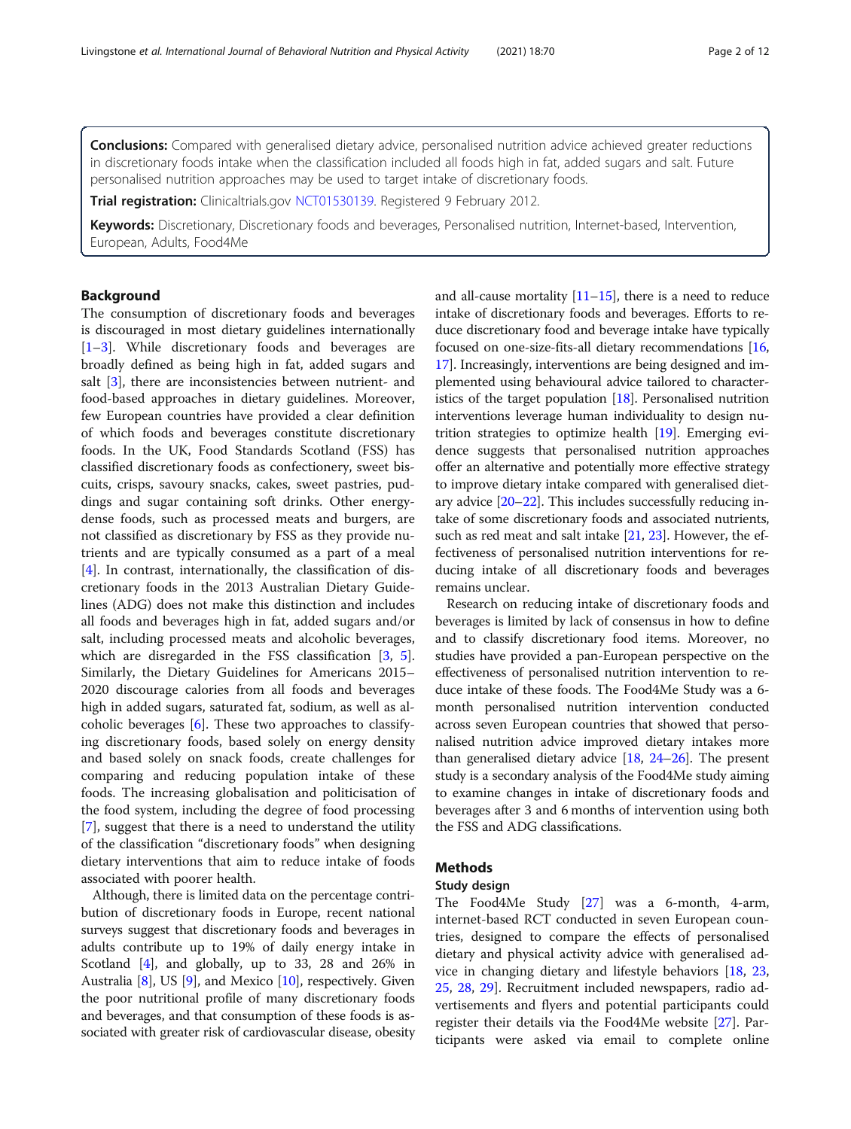**Conclusions:** Compared with generalised dietary advice, personalised nutrition advice achieved greater reductions in discretionary foods intake when the classification included all foods high in fat, added sugars and salt. Future personalised nutrition approaches may be used to target intake of discretionary foods.

Trial registration: Clinicaltrials.gov [NCT01530139.](https://clinicaltrials.gov/ct2/show/NCT01530139) Registered 9 February 2012.

Keywords: Discretionary, Discretionary foods and beverages, Personalised nutrition, Internet-based, Intervention, European, Adults, Food4Me

#### Background

The consumption of discretionary foods and beverages is discouraged in most dietary guidelines internationally [[1](#page-9-0)–[3\]](#page-9-0). While discretionary foods and beverages are broadly defined as being high in fat, added sugars and salt [[3](#page-9-0)], there are inconsistencies between nutrient- and food-based approaches in dietary guidelines. Moreover, few European countries have provided a clear definition of which foods and beverages constitute discretionary foods. In the UK, Food Standards Scotland (FSS) has classified discretionary foods as confectionery, sweet biscuits, crisps, savoury snacks, cakes, sweet pastries, puddings and sugar containing soft drinks. Other energydense foods, such as processed meats and burgers, are not classified as discretionary by FSS as they provide nutrients and are typically consumed as a part of a meal [[4\]](#page-9-0). In contrast, internationally, the classification of discretionary foods in the 2013 Australian Dietary Guidelines (ADG) does not make this distinction and includes all foods and beverages high in fat, added sugars and/or salt, including processed meats and alcoholic beverages, which are disregarded in the FSS classification [\[3,](#page-9-0) [5](#page-9-0)]. Similarly, the Dietary Guidelines for Americans 2015– 2020 discourage calories from all foods and beverages high in added sugars, saturated fat, sodium, as well as alcoholic beverages [[6\]](#page-9-0). These two approaches to classifying discretionary foods, based solely on energy density and based solely on snack foods, create challenges for comparing and reducing population intake of these foods. The increasing globalisation and politicisation of the food system, including the degree of food processing [[7\]](#page-9-0), suggest that there is a need to understand the utility of the classification "discretionary foods" when designing dietary interventions that aim to reduce intake of foods associated with poorer health.

Although, there is limited data on the percentage contribution of discretionary foods in Europe, recent national surveys suggest that discretionary foods and beverages in adults contribute up to 19% of daily energy intake in Scotland [\[4](#page-9-0)], and globally, up to 33, 28 and 26% in Australia [[8\]](#page-9-0), US [\[9](#page-9-0)], and Mexico [\[10\]](#page-9-0), respectively. Given the poor nutritional profile of many discretionary foods and beverages, and that consumption of these foods is associated with greater risk of cardiovascular disease, obesity and all-cause mortality  $[11–15]$  $[11–15]$  $[11–15]$ , there is a need to reduce intake of discretionary foods and beverages. Efforts to reduce discretionary food and beverage intake have typically focused on one-size-fits-all dietary recommendations [[16](#page-10-0), [17](#page-10-0)]. Increasingly, interventions are being designed and implemented using behavioural advice tailored to characteristics of the target population  $[18]$  $[18]$ . Personalised nutrition interventions leverage human individuality to design nutrition strategies to optimize health [\[19\]](#page-10-0). Emerging evidence suggests that personalised nutrition approaches offer an alternative and potentially more effective strategy to improve dietary intake compared with generalised dietary advice [[20](#page-10-0)–[22\]](#page-10-0). This includes successfully reducing intake of some discretionary foods and associated nutrients, such as red meat and salt intake [[21](#page-10-0), [23\]](#page-10-0). However, the effectiveness of personalised nutrition interventions for reducing intake of all discretionary foods and beverages remains unclear.

Research on reducing intake of discretionary foods and beverages is limited by lack of consensus in how to define and to classify discretionary food items. Moreover, no studies have provided a pan-European perspective on the effectiveness of personalised nutrition intervention to reduce intake of these foods. The Food4Me Study was a 6 month personalised nutrition intervention conducted across seven European countries that showed that personalised nutrition advice improved dietary intakes more than generalised dietary advice  $[18, 24-26]$  $[18, 24-26]$  $[18, 24-26]$  $[18, 24-26]$  $[18, 24-26]$  $[18, 24-26]$ . The present study is a secondary analysis of the Food4Me study aiming to examine changes in intake of discretionary foods and beverages after 3 and 6 months of intervention using both the FSS and ADG classifications.

### Methods

#### Study design

The Food4Me Study [[27\]](#page-10-0) was a 6-month, 4-arm, internet-based RCT conducted in seven European countries, designed to compare the effects of personalised dietary and physical activity advice with generalised advice in changing dietary and lifestyle behaviors [\[18](#page-10-0), [23](#page-10-0), [25,](#page-10-0) [28](#page-10-0), [29\]](#page-10-0). Recruitment included newspapers, radio advertisements and flyers and potential participants could register their details via the Food4Me website [[27](#page-10-0)]. Participants were asked via email to complete online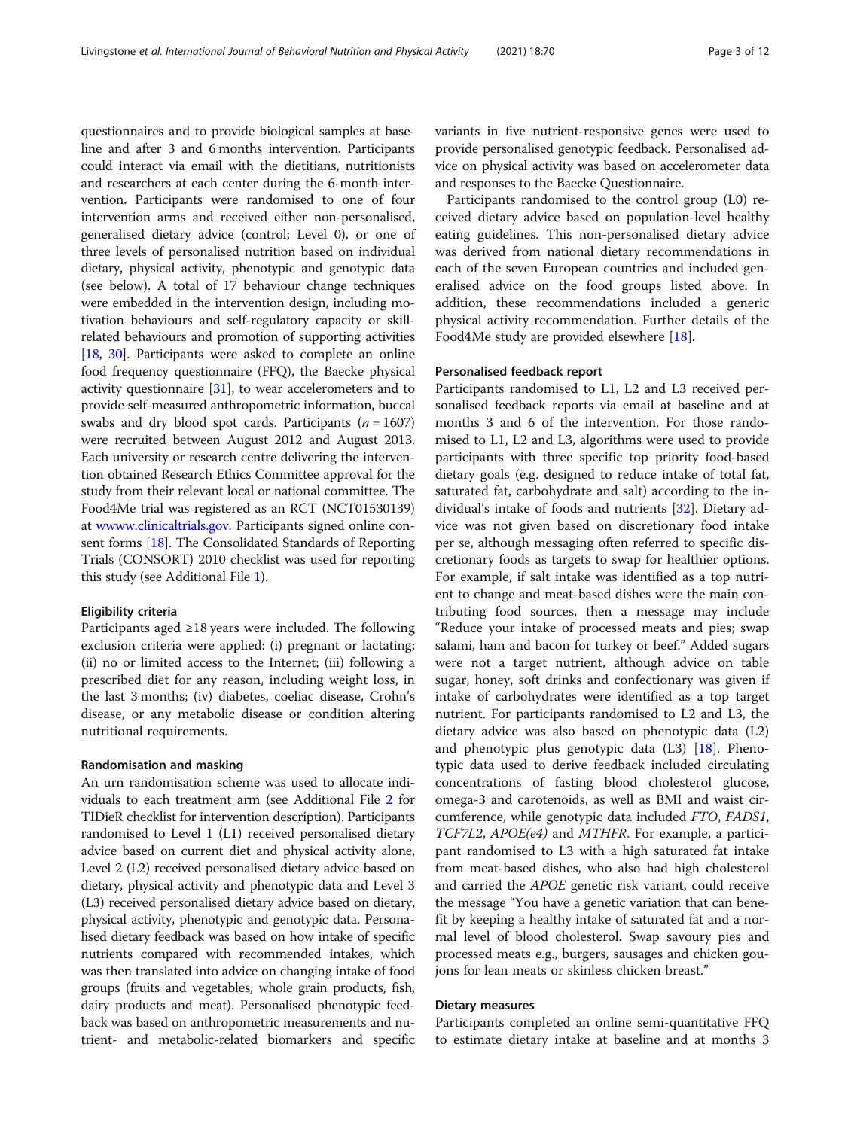questionnaires and to provide biological samples at baseline and after 3 and 6 months intervention. Participants could interact via email with the dietitians, nutritionists and researchers at each center during the 6-month intervention. Participants were randomised to one of four intervention arms and received either non-personalised, generalised dietary advice (control; Level 0), or one of three levels of personalised nutrition based on individual dietary, physical activity, phenotypic and genotypic data (see below). A total of 17 behaviour change techniques were embedded in the intervention design, including motivation behaviours and self-regulatory capacity or skillrelated behaviours and promotion of supporting activities [[18](#page-10-0), [30\]](#page-10-0). Participants were asked to complete an online food frequency questionnaire (FFQ), the Baecke physical activity questionnaire [\[31\]](#page-10-0), to wear accelerometers and to provide self-measured anthropometric information, buccal swabs and dry blood spot cards. Participants ( $n = 1607$ ) were recruited between August 2012 and August 2013. Each university or research centre delivering the intervention obtained Research Ethics Committee approval for the study from their relevant local or national committee. The Food4Me trial was registered as an RCT (NCT01530139) at [wwww.clinicaltrials.gov](http://wwww.clinicaltrials.gov). Participants signed online consent forms [\[18](#page-10-0)]. The Consolidated Standards of Reporting Trials (CONSORT) 2010 checklist was used for reporting this study (see Additional File [1\)](#page-8-0).

#### Eligibility criteria

Participants aged ≥18 years were included. The following exclusion criteria were applied: (i) pregnant or lactating; (ii) no or limited access to the Internet; (iii) following a prescribed diet for any reason, including weight loss, in the last 3 months; (iv) diabetes, coeliac disease, Crohn's disease, or any metabolic disease or condition altering nutritional requirements.

#### Randomisation and masking

An urn randomisation scheme was used to allocate individuals to each treatment arm (see Additional File [2](#page-8-0) for TIDieR checklist for intervention description). Participants randomised to Level 1 (L1) received personalised dietary advice based on current diet and physical activity alone, Level 2 (L2) received personalised dietary advice based on dietary, physical activity and phenotypic data and Level 3 (L3) received personalised dietary advice based on dietary, physical activity, phenotypic and genotypic data. Personalised dietary feedback was based on how intake of specific nutrients compared with recommended intakes, which was then translated into advice on changing intake of food groups (fruits and vegetables, whole grain products, fish, dairy products and meat). Personalised phenotypic feedback was based on anthropometric measurements and nutrient- and metabolic-related biomarkers and specific variants in five nutrient-responsive genes were used to provide personalised genotypic feedback. Personalised advice on physical activity was based on accelerometer data and responses to the Baecke Questionnaire.

Participants randomised to the control group (L0) received dietary advice based on population-level healthy eating guidelines. This non-personalised dietary advice was derived from national dietary recommendations in each of the seven European countries and included generalised advice on the food groups listed above. In addition, these recommendations included a generic physical activity recommendation. Further details of the Food4Me study are provided elsewhere [[18](#page-10-0)].

#### Personalised feedback report

Participants randomised to L1, L2 and L3 received personalised feedback reports via email at baseline and at months 3 and 6 of the intervention. For those randomised to L1, L2 and L3, algorithms were used to provide participants with three specific top priority food-based dietary goals (e.g. designed to reduce intake of total fat, saturated fat, carbohydrate and salt) according to the individual's intake of foods and nutrients [[32](#page-10-0)]. Dietary advice was not given based on discretionary food intake per se, although messaging often referred to specific discretionary foods as targets to swap for healthier options. For example, if salt intake was identified as a top nutrient to change and meat-based dishes were the main contributing food sources, then a message may include "Reduce your intake of processed meats and pies; swap salami, ham and bacon for turkey or beef." Added sugars were not a target nutrient, although advice on table sugar, honey, soft drinks and confectionary was given if intake of carbohydrates were identified as a top target nutrient. For participants randomised to L2 and L3, the dietary advice was also based on phenotypic data (L2) and phenotypic plus genotypic data  $(L3)$  [[18\]](#page-10-0). Phenotypic data used to derive feedback included circulating concentrations of fasting blood cholesterol glucose, omega-3 and carotenoids, as well as BMI and waist circumference, while genotypic data included FTO, FADS1, TCF7L2, APOE(e4) and MTHFR. For example, a participant randomised to L3 with a high saturated fat intake from meat-based dishes, who also had high cholesterol and carried the APOE genetic risk variant, could receive the message "You have a genetic variation that can benefit by keeping a healthy intake of saturated fat and a normal level of blood cholesterol. Swap savoury pies and processed meats e.g., burgers, sausages and chicken goujons for lean meats or skinless chicken breast."

# Dietary measures

Participants completed an online semi-quantitative FFQ to estimate dietary intake at baseline and at months 3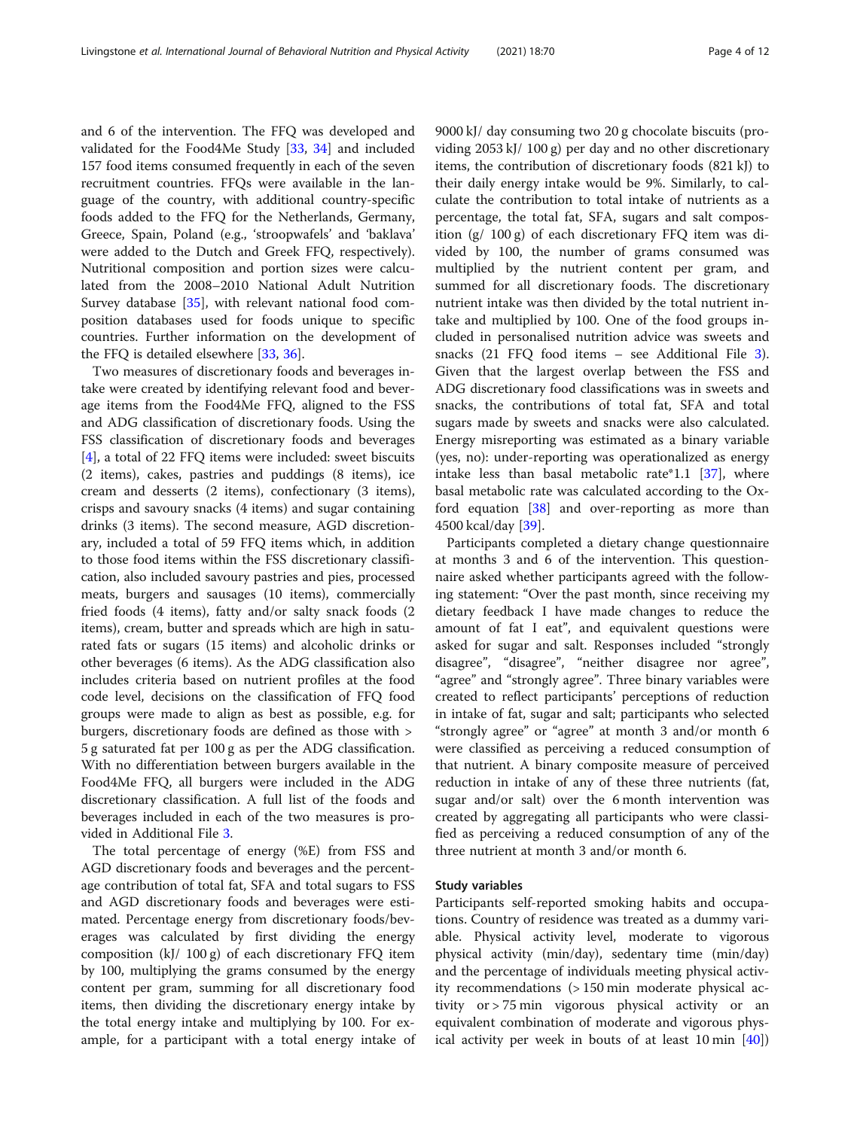and 6 of the intervention. The FFQ was developed and validated for the Food4Me Study [\[33](#page-10-0), [34](#page-10-0)] and included 157 food items consumed frequently in each of the seven recruitment countries. FFQs were available in the language of the country, with additional country-specific foods added to the FFQ for the Netherlands, Germany, Greece, Spain, Poland (e.g., 'stroopwafels' and 'baklava' were added to the Dutch and Greek FFQ, respectively). Nutritional composition and portion sizes were calculated from the 2008–2010 National Adult Nutrition Survey database [[35\]](#page-10-0), with relevant national food composition databases used for foods unique to specific countries. Further information on the development of the FFQ is detailed elsewhere [\[33](#page-10-0), [36](#page-10-0)].

Two measures of discretionary foods and beverages intake were created by identifying relevant food and beverage items from the Food4Me FFQ, aligned to the FSS and ADG classification of discretionary foods. Using the FSS classification of discretionary foods and beverages [[4\]](#page-9-0), a total of 22 FFQ items were included: sweet biscuits (2 items), cakes, pastries and puddings (8 items), ice cream and desserts (2 items), confectionary (3 items), crisps and savoury snacks (4 items) and sugar containing drinks (3 items). The second measure, AGD discretionary, included a total of 59 FFQ items which, in addition to those food items within the FSS discretionary classification, also included savoury pastries and pies, processed meats, burgers and sausages (10 items), commercially fried foods (4 items), fatty and/or salty snack foods (2 items), cream, butter and spreads which are high in saturated fats or sugars (15 items) and alcoholic drinks or other beverages (6 items). As the ADG classification also includes criteria based on nutrient profiles at the food code level, decisions on the classification of FFQ food groups were made to align as best as possible, e.g. for burgers, discretionary foods are defined as those with > 5 g saturated fat per 100 g as per the ADG classification. With no differentiation between burgers available in the Food4Me FFQ, all burgers were included in the ADG discretionary classification. A full list of the foods and beverages included in each of the two measures is provided in Additional File [3](#page-8-0).

The total percentage of energy (%E) from FSS and AGD discretionary foods and beverages and the percentage contribution of total fat, SFA and total sugars to FSS and AGD discretionary foods and beverages were estimated. Percentage energy from discretionary foods/beverages was calculated by first dividing the energy composition (kJ/ 100 g) of each discretionary FFQ item by 100, multiplying the grams consumed by the energy content per gram, summing for all discretionary food items, then dividing the discretionary energy intake by the total energy intake and multiplying by 100. For example, for a participant with a total energy intake of 9000 kJ/ day consuming two 20 g chocolate biscuits (providing 2053 kJ/ 100 g) per day and no other discretionary items, the contribution of discretionary foods (821 kJ) to their daily energy intake would be 9%. Similarly, to calculate the contribution to total intake of nutrients as a percentage, the total fat, SFA, sugars and salt composition (g/ 100 g) of each discretionary FFQ item was divided by 100, the number of grams consumed was multiplied by the nutrient content per gram, and summed for all discretionary foods. The discretionary nutrient intake was then divided by the total nutrient intake and multiplied by 100. One of the food groups included in personalised nutrition advice was sweets and snacks (21 FFQ food items – see Additional File [3](#page-8-0)). Given that the largest overlap between the FSS and ADG discretionary food classifications was in sweets and snacks, the contributions of total fat, SFA and total sugars made by sweets and snacks were also calculated. Energy misreporting was estimated as a binary variable (yes, no): under-reporting was operationalized as energy intake less than basal metabolic rate\*1.1  $[37]$  $[37]$ , where basal metabolic rate was calculated according to the Oxford equation [[38\]](#page-10-0) and over-reporting as more than 4500 kcal/day [\[39](#page-10-0)].

Participants completed a dietary change questionnaire at months 3 and 6 of the intervention. This questionnaire asked whether participants agreed with the following statement: "Over the past month, since receiving my dietary feedback I have made changes to reduce the amount of fat I eat", and equivalent questions were asked for sugar and salt. Responses included "strongly disagree", "disagree", "neither disagree nor agree", "agree" and "strongly agree". Three binary variables were created to reflect participants' perceptions of reduction in intake of fat, sugar and salt; participants who selected "strongly agree" or "agree" at month 3 and/or month 6 were classified as perceiving a reduced consumption of that nutrient. A binary composite measure of perceived reduction in intake of any of these three nutrients (fat, sugar and/or salt) over the 6 month intervention was created by aggregating all participants who were classified as perceiving a reduced consumption of any of the three nutrient at month 3 and/or month 6.

#### Study variables

Participants self-reported smoking habits and occupations. Country of residence was treated as a dummy variable. Physical activity level, moderate to vigorous physical activity (min/day), sedentary time (min/day) and the percentage of individuals meeting physical activity recommendations (> 150 min moderate physical activity or > 75 min vigorous physical activity or an equivalent combination of moderate and vigorous physical activity per week in bouts of at least 10 min [\[40](#page-10-0)])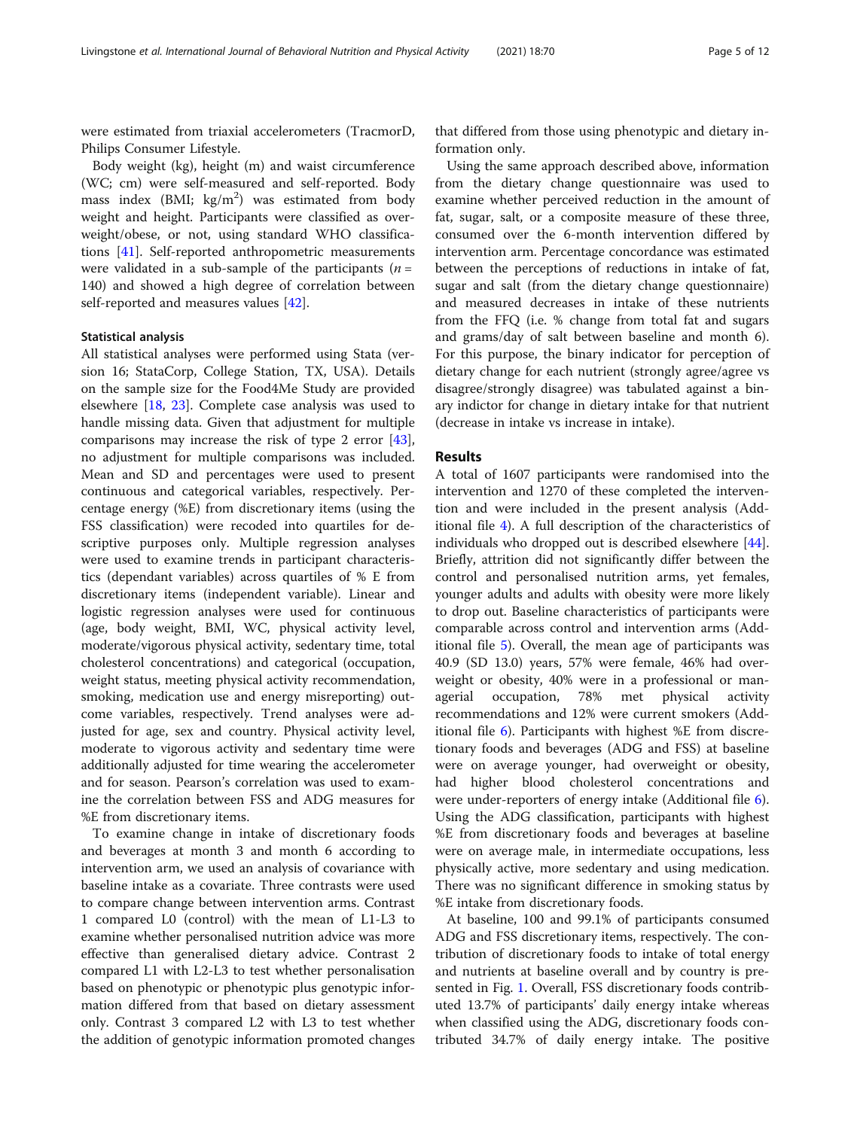were estimated from triaxial accelerometers (TracmorD, Philips Consumer Lifestyle.

Body weight (kg), height (m) and waist circumference (WC; cm) were self-measured and self-reported. Body mass index (BMI;  $\text{kg/m}^2$ ) was estimated from body weight and height. Participants were classified as overweight/obese, or not, using standard WHO classifications [[41\]](#page-10-0). Self-reported anthropometric measurements were validated in a sub-sample of the participants ( $n =$ 140) and showed a high degree of correlation between self-reported and measures values [[42](#page-10-0)].

#### Statistical analysis

All statistical analyses were performed using Stata (version 16; StataCorp, College Station, TX, USA). Details on the sample size for the Food4Me Study are provided elsewhere [[18,](#page-10-0) [23\]](#page-10-0). Complete case analysis was used to handle missing data. Given that adjustment for multiple comparisons may increase the risk of type 2 error [\[43](#page-10-0)], no adjustment for multiple comparisons was included. Mean and SD and percentages were used to present continuous and categorical variables, respectively. Percentage energy (%E) from discretionary items (using the FSS classification) were recoded into quartiles for descriptive purposes only. Multiple regression analyses were used to examine trends in participant characteristics (dependant variables) across quartiles of % E from discretionary items (independent variable). Linear and logistic regression analyses were used for continuous (age, body weight, BMI, WC, physical activity level, moderate/vigorous physical activity, sedentary time, total cholesterol concentrations) and categorical (occupation, weight status, meeting physical activity recommendation, smoking, medication use and energy misreporting) outcome variables, respectively. Trend analyses were adjusted for age, sex and country. Physical activity level, moderate to vigorous activity and sedentary time were additionally adjusted for time wearing the accelerometer and for season. Pearson's correlation was used to examine the correlation between FSS and ADG measures for %E from discretionary items.

To examine change in intake of discretionary foods and beverages at month 3 and month 6 according to intervention arm, we used an analysis of covariance with baseline intake as a covariate. Three contrasts were used to compare change between intervention arms. Contrast 1 compared L0 (control) with the mean of L1-L3 to examine whether personalised nutrition advice was more effective than generalised dietary advice. Contrast 2 compared L1 with L2-L3 to test whether personalisation based on phenotypic or phenotypic plus genotypic information differed from that based on dietary assessment only. Contrast 3 compared L2 with L3 to test whether the addition of genotypic information promoted changes

that differed from those using phenotypic and dietary information only.

Using the same approach described above, information from the dietary change questionnaire was used to examine whether perceived reduction in the amount of fat, sugar, salt, or a composite measure of these three, consumed over the 6-month intervention differed by intervention arm. Percentage concordance was estimated between the perceptions of reductions in intake of fat, sugar and salt (from the dietary change questionnaire) and measured decreases in intake of these nutrients from the FFQ (i.e. % change from total fat and sugars and grams/day of salt between baseline and month 6). For this purpose, the binary indicator for perception of dietary change for each nutrient (strongly agree/agree vs disagree/strongly disagree) was tabulated against a binary indictor for change in dietary intake for that nutrient (decrease in intake vs increase in intake).

#### Results

A total of 1607 participants were randomised into the intervention and 1270 of these completed the intervention and were included in the present analysis (Additional file [4](#page-8-0)). A full description of the characteristics of individuals who dropped out is described elsewhere [\[44](#page-10-0)]. Briefly, attrition did not significantly differ between the control and personalised nutrition arms, yet females, younger adults and adults with obesity were more likely to drop out. Baseline characteristics of participants were comparable across control and intervention arms (Additional file [5](#page-8-0)). Overall, the mean age of participants was 40.9 (SD 13.0) years, 57% were female, 46% had overweight or obesity, 40% were in a professional or managerial occupation, 78% met physical activity recommendations and 12% were current smokers (Additional file [6](#page-8-0)). Participants with highest %E from discretionary foods and beverages (ADG and FSS) at baseline were on average younger, had overweight or obesity, had higher blood cholesterol concentrations and were under-reporters of energy intake (Additional file [6](#page-8-0)). Using the ADG classification, participants with highest %E from discretionary foods and beverages at baseline were on average male, in intermediate occupations, less physically active, more sedentary and using medication. There was no significant difference in smoking status by %E intake from discretionary foods.

At baseline, 100 and 99.1% of participants consumed ADG and FSS discretionary items, respectively. The contribution of discretionary foods to intake of total energy and nutrients at baseline overall and by country is presented in Fig. [1](#page-5-0). Overall, FSS discretionary foods contributed 13.7% of participants' daily energy intake whereas when classified using the ADG, discretionary foods contributed 34.7% of daily energy intake. The positive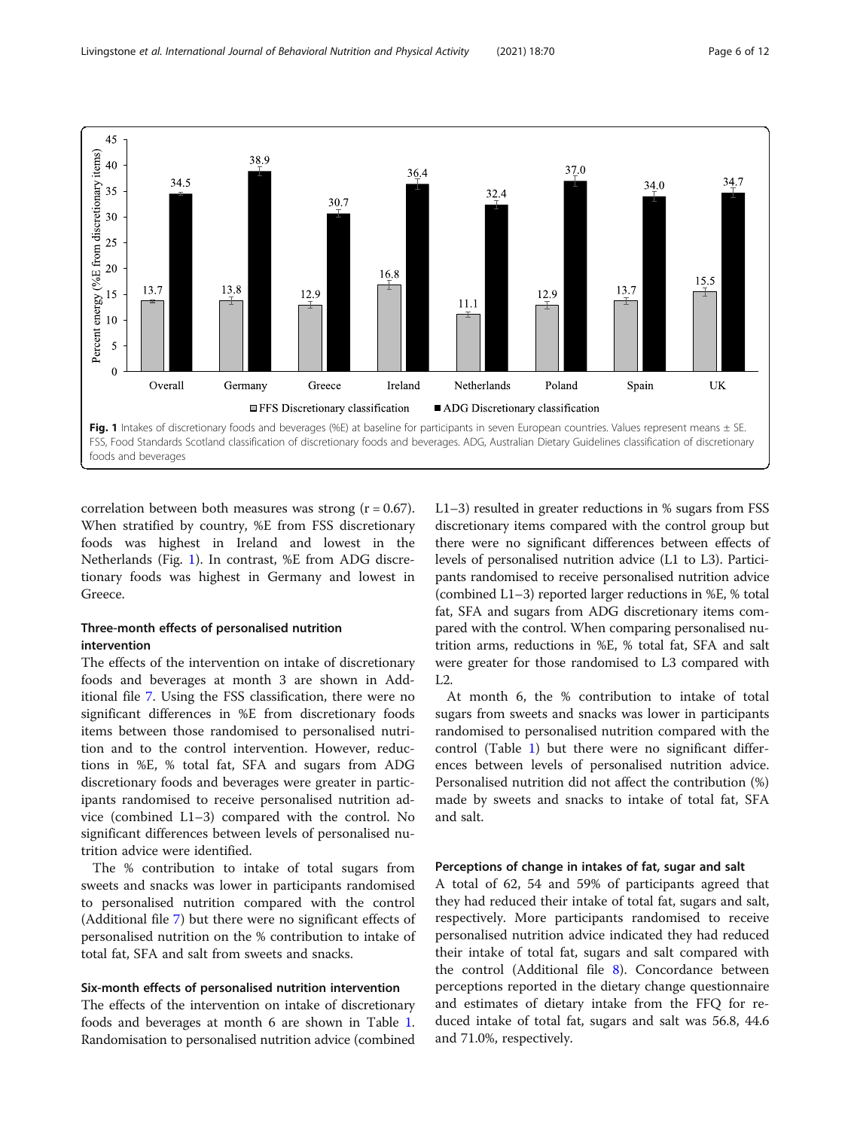<span id="page-5-0"></span>

correlation between both measures was strong  $(r = 0.67)$ . When stratified by country, %E from FSS discretionary foods was highest in Ireland and lowest in the Netherlands (Fig. 1). In contrast, %E from ADG discretionary foods was highest in Germany and lowest in Greece.

# Three-month effects of personalised nutrition intervention

The effects of the intervention on intake of discretionary foods and beverages at month 3 are shown in Additional file [7.](#page-8-0) Using the FSS classification, there were no significant differences in %E from discretionary foods items between those randomised to personalised nutrition and to the control intervention. However, reductions in %E, % total fat, SFA and sugars from ADG discretionary foods and beverages were greater in participants randomised to receive personalised nutrition advice (combined L1–3) compared with the control. No significant differences between levels of personalised nutrition advice were identified.

The % contribution to intake of total sugars from sweets and snacks was lower in participants randomised to personalised nutrition compared with the control (Additional file [7](#page-8-0)) but there were no significant effects of personalised nutrition on the % contribution to intake of total fat, SFA and salt from sweets and snacks.

# Six-month effects of personalised nutrition intervention

The effects of the intervention on intake of discretionary foods and beverages at month 6 are shown in Table [1](#page-6-0). Randomisation to personalised nutrition advice (combined L1–3) resulted in greater reductions in % sugars from FSS discretionary items compared with the control group but there were no significant differences between effects of levels of personalised nutrition advice (L1 to L3). Participants randomised to receive personalised nutrition advice (combined L1–3) reported larger reductions in %E, % total fat, SFA and sugars from ADG discretionary items compared with the control. When comparing personalised nutrition arms, reductions in %E, % total fat, SFA and salt were greater for those randomised to L3 compared with L2.

At month 6, the % contribution to intake of total sugars from sweets and snacks was lower in participants randomised to personalised nutrition compared with the control (Table [1\)](#page-6-0) but there were no significant differences between levels of personalised nutrition advice. Personalised nutrition did not affect the contribution (%) made by sweets and snacks to intake of total fat, SFA and salt.

# Perceptions of change in intakes of fat, sugar and salt

A total of 62, 54 and 59% of participants agreed that they had reduced their intake of total fat, sugars and salt, respectively. More participants randomised to receive personalised nutrition advice indicated they had reduced their intake of total fat, sugars and salt compared with the control (Additional file [8\)](#page-8-0). Concordance between perceptions reported in the dietary change questionnaire and estimates of dietary intake from the FFQ for reduced intake of total fat, sugars and salt was 56.8, 44.6 and 71.0%, respectively.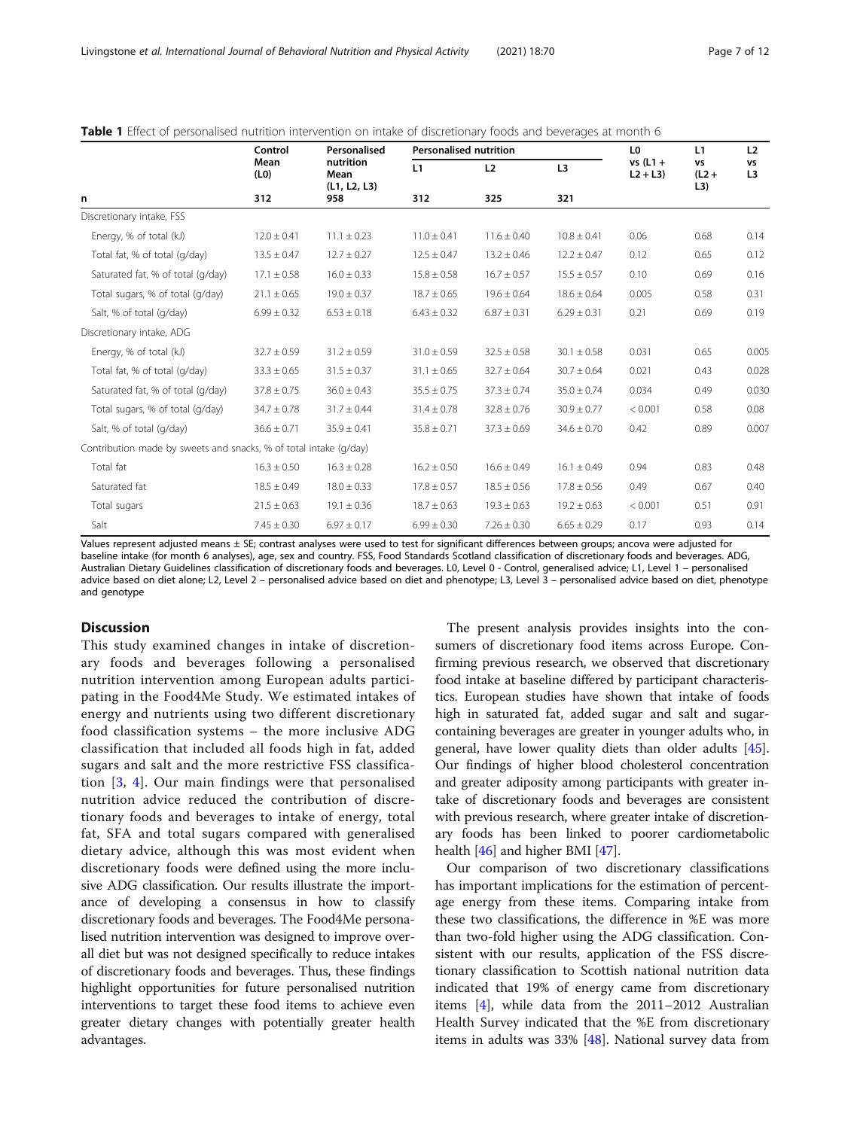|                                                                   | Control<br>Mean<br>(L0)<br>312 | Personalised<br>nutrition<br>Mean<br>(L1, L2, L3)<br>958 | <b>Personalised nutrition</b> |                 |                       | L <sub>0</sub>         | L1                                   | L <sub>2</sub> |
|-------------------------------------------------------------------|--------------------------------|----------------------------------------------------------|-------------------------------|-----------------|-----------------------|------------------------|--------------------------------------|----------------|
| n                                                                 |                                |                                                          | L1<br>312                     | L2<br>325       | L <sub>3</sub><br>321 | $vs(L1 +$<br>$L2 + L3$ | VS<br>$(L2 +$<br>$\lfloor 3 \rfloor$ | vs<br>L3       |
|                                                                   |                                |                                                          |                               |                 |                       |                        |                                      |                |
| Energy, % of total (kJ)                                           | $12.0 \pm 0.41$                | $11.1 \pm 0.23$                                          | $11.0 \pm 0.41$               | $11.6 \pm 0.40$ | $10.8 \pm 0.41$       | 0.06                   | 0.68                                 | 0.14           |
| Total fat, % of total (g/day)                                     | $13.5 \pm 0.47$                | $12.7 \pm 0.27$                                          | $12.5 \pm 0.47$               | $13.2 \pm 0.46$ | $12.2 \pm 0.47$       | 0.12                   | 0.65                                 | 0.12           |
| Saturated fat, % of total (g/day)                                 | $17.1 \pm 0.58$                | $16.0 \pm 0.33$                                          | $15.8 \pm 0.58$               | $16.7 \pm 0.57$ | $15.5 \pm 0.57$       | 0.10                   | 0.69                                 | 0.16           |
| Total sugars, % of total (g/day)                                  | $21.1 \pm 0.65$                | $19.0 \pm 0.37$                                          | $18.7 \pm 0.65$               | $19.6 \pm 0.64$ | $18.6 \pm 0.64$       | 0.005                  | 0.58                                 | 0.31           |
| Salt, % of total (g/day)                                          | $6.99 \pm 0.32$                | $6.53 \pm 0.18$                                          | $6.43 \pm 0.32$               | $6.87 \pm 0.31$ | $6.29 \pm 0.31$       | 0.21                   | 0.69                                 | 0.19           |
| Discretionary intake, ADG                                         |                                |                                                          |                               |                 |                       |                        |                                      |                |
| Energy, % of total (kJ)                                           | $32.7 \pm 0.59$                | $31.2 \pm 0.59$                                          | $31.0 \pm 0.59$               | $32.5 \pm 0.58$ | $30.1 \pm 0.58$       | 0.031                  | 0.65                                 | 0.005          |
| Total fat, % of total (g/day)                                     | $33.3 \pm 0.65$                | $31.5 \pm 0.37$                                          | $31.1 \pm 0.65$               | $32.7 \pm 0.64$ | $30.7 \pm 0.64$       | 0.021                  | 0.43                                 | 0.028          |
| Saturated fat, % of total (g/day)                                 | $37.8 \pm 0.75$                | $36.0 \pm 0.43$                                          | $35.5 \pm 0.75$               | $37.3 \pm 0.74$ | $35.0 \pm 0.74$       | 0.034                  | 0.49                                 | 0.030          |
| Total sugars, % of total (g/day)                                  | $34.7 \pm 0.78$                | $31.7 \pm 0.44$                                          | $31.4 \pm 0.78$               | $32.8 \pm 0.76$ | $30.9 \pm 0.77$       | < 0.001                | 0.58                                 | 0.08           |
| Salt, % of total (g/day)                                          | $36.6 \pm 0.71$                | $35.9 \pm 0.41$                                          | $35.8 \pm 0.71$               | $37.3 \pm 0.69$ | $34.6 \pm 0.70$       | 0.42                   | 0.89                                 | 0.007          |
| Contribution made by sweets and snacks, % of total intake (g/day) |                                |                                                          |                               |                 |                       |                        |                                      |                |
| Total fat                                                         | $16.3 \pm 0.50$                | $16.3 \pm 0.28$                                          | $16.2 \pm 0.50$               | $16.6 \pm 0.49$ | $16.1 \pm 0.49$       | 0.94                   | 0.83                                 | 0.48           |
| Saturated fat                                                     | $18.5 \pm 0.49$                | $18.0 \pm 0.33$                                          | $17.8 \pm 0.57$               | $18.5 \pm 0.56$ | $17.8 \pm 0.56$       | 0.49                   | 0.67                                 | 0.40           |
| Total sugars                                                      | $21.5 \pm 0.63$                | $19.1 \pm 0.36$                                          | $18.7 \pm 0.63$               | $19.3 \pm 0.63$ | $19.2 \pm 0.63$       | < 0.001                | 0.51                                 | 0.91           |
| Salt                                                              | $7.45 \pm 0.30$                | $6.97 \pm 0.17$                                          | $6.99 \pm 0.30$               | $7.26 \pm 0.30$ | $6.65 \pm 0.29$       | 0.17                   | 0.93                                 | 0.14           |

<span id="page-6-0"></span>Table 1 Effect of personalised nutrition intervention on intake of discretionary foods and beverages at month 6

Values represent adjusted means ± SE; contrast analyses were used to test for significant differences between groups; ancova were adjusted for baseline intake (for month 6 analyses), age, sex and country. FSS, Food Standards Scotland classification of discretionary foods and beverages. ADG, Australian Dietary Guidelines classification of discretionary foods and beverages. L0, Level 0 - Control, generalised advice; L1, Level 1 – personalised advice based on diet alone; L2, Level 2 – personalised advice based on diet and phenotype; L3, Level 3 – personalised advice based on diet, phenotype and genotype

#### **Discussion**

This study examined changes in intake of discretionary foods and beverages following a personalised nutrition intervention among European adults participating in the Food4Me Study. We estimated intakes of energy and nutrients using two different discretionary food classification systems – the more inclusive ADG classification that included all foods high in fat, added sugars and salt and the more restrictive FSS classification [[3](#page-9-0), [4\]](#page-9-0). Our main findings were that personalised nutrition advice reduced the contribution of discretionary foods and beverages to intake of energy, total fat, SFA and total sugars compared with generalised dietary advice, although this was most evident when discretionary foods were defined using the more inclusive ADG classification. Our results illustrate the importance of developing a consensus in how to classify discretionary foods and beverages. The Food4Me personalised nutrition intervention was designed to improve overall diet but was not designed specifically to reduce intakes of discretionary foods and beverages. Thus, these findings highlight opportunities for future personalised nutrition interventions to target these food items to achieve even greater dietary changes with potentially greater health advantages.

The present analysis provides insights into the consumers of discretionary food items across Europe. Confirming previous research, we observed that discretionary food intake at baseline differed by participant characteristics. European studies have shown that intake of foods high in saturated fat, added sugar and salt and sugarcontaining beverages are greater in younger adults who, in general, have lower quality diets than older adults [[45](#page-10-0)]. Our findings of higher blood cholesterol concentration and greater adiposity among participants with greater intake of discretionary foods and beverages are consistent with previous research, where greater intake of discretionary foods has been linked to poorer cardiometabolic health [\[46\]](#page-10-0) and higher BMI [[47](#page-10-0)].

Our comparison of two discretionary classifications has important implications for the estimation of percentage energy from these items. Comparing intake from these two classifications, the difference in %E was more than two-fold higher using the ADG classification. Consistent with our results, application of the FSS discretionary classification to Scottish national nutrition data indicated that 19% of energy came from discretionary items [[4](#page-9-0)], while data from the 2011–2012 Australian Health Survey indicated that the %E from discretionary items in adults was 33% [\[48](#page-10-0)]. National survey data from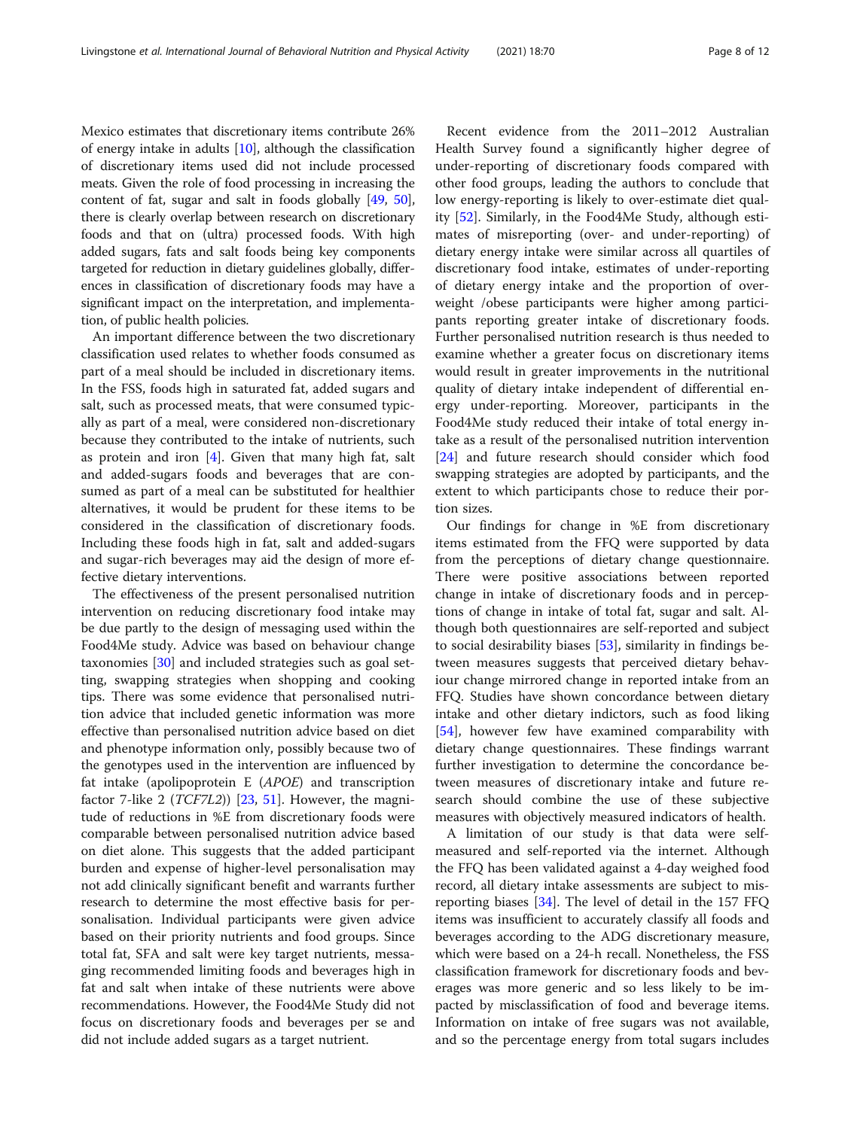Mexico estimates that discretionary items contribute 26% of energy intake in adults  $[10]$ , although the classification of discretionary items used did not include processed meats. Given the role of food processing in increasing the content of fat, sugar and salt in foods globally [[49](#page-10-0), [50](#page-10-0)], there is clearly overlap between research on discretionary foods and that on (ultra) processed foods. With high added sugars, fats and salt foods being key components targeted for reduction in dietary guidelines globally, differences in classification of discretionary foods may have a significant impact on the interpretation, and implementation, of public health policies.

An important difference between the two discretionary classification used relates to whether foods consumed as part of a meal should be included in discretionary items. In the FSS, foods high in saturated fat, added sugars and salt, such as processed meats, that were consumed typically as part of a meal, were considered non-discretionary because they contributed to the intake of nutrients, such as protein and iron  $[4]$  $[4]$ . Given that many high fat, salt and added-sugars foods and beverages that are consumed as part of a meal can be substituted for healthier alternatives, it would be prudent for these items to be considered in the classification of discretionary foods. Including these foods high in fat, salt and added-sugars and sugar-rich beverages may aid the design of more effective dietary interventions.

The effectiveness of the present personalised nutrition intervention on reducing discretionary food intake may be due partly to the design of messaging used within the Food4Me study. Advice was based on behaviour change taxonomies [[30\]](#page-10-0) and included strategies such as goal setting, swapping strategies when shopping and cooking tips. There was some evidence that personalised nutrition advice that included genetic information was more effective than personalised nutrition advice based on diet and phenotype information only, possibly because two of the genotypes used in the intervention are influenced by fat intake (apolipoprotein E (APOE) and transcription factor 7-like 2 (*TCF7L2*)) [\[23](#page-10-0), [51\]](#page-10-0). However, the magnitude of reductions in %E from discretionary foods were comparable between personalised nutrition advice based on diet alone. This suggests that the added participant burden and expense of higher-level personalisation may not add clinically significant benefit and warrants further research to determine the most effective basis for personalisation. Individual participants were given advice based on their priority nutrients and food groups. Since total fat, SFA and salt were key target nutrients, messaging recommended limiting foods and beverages high in fat and salt when intake of these nutrients were above recommendations. However, the Food4Me Study did not focus on discretionary foods and beverages per se and did not include added sugars as a target nutrient.

Recent evidence from the 2011–2012 Australian Health Survey found a significantly higher degree of under-reporting of discretionary foods compared with other food groups, leading the authors to conclude that low energy-reporting is likely to over-estimate diet quality [[52](#page-11-0)]. Similarly, in the Food4Me Study, although estimates of misreporting (over- and under-reporting) of dietary energy intake were similar across all quartiles of discretionary food intake, estimates of under-reporting of dietary energy intake and the proportion of overweight /obese participants were higher among participants reporting greater intake of discretionary foods. Further personalised nutrition research is thus needed to examine whether a greater focus on discretionary items would result in greater improvements in the nutritional quality of dietary intake independent of differential energy under-reporting. Moreover, participants in the Food4Me study reduced their intake of total energy intake as a result of the personalised nutrition intervention [[24\]](#page-10-0) and future research should consider which food swapping strategies are adopted by participants, and the extent to which participants chose to reduce their portion sizes.

Our findings for change in %E from discretionary items estimated from the FFQ were supported by data from the perceptions of dietary change questionnaire. There were positive associations between reported change in intake of discretionary foods and in perceptions of change in intake of total fat, sugar and salt. Although both questionnaires are self-reported and subject to social desirability biases [[53\]](#page-11-0), similarity in findings between measures suggests that perceived dietary behaviour change mirrored change in reported intake from an FFQ. Studies have shown concordance between dietary intake and other dietary indictors, such as food liking [[54\]](#page-11-0), however few have examined comparability with dietary change questionnaires. These findings warrant further investigation to determine the concordance between measures of discretionary intake and future research should combine the use of these subjective measures with objectively measured indicators of health.

A limitation of our study is that data were selfmeasured and self-reported via the internet. Although the FFQ has been validated against a 4-day weighed food record, all dietary intake assessments are subject to misreporting biases [[34\]](#page-10-0). The level of detail in the 157 FFQ items was insufficient to accurately classify all foods and beverages according to the ADG discretionary measure, which were based on a 24-h recall. Nonetheless, the FSS classification framework for discretionary foods and beverages was more generic and so less likely to be impacted by misclassification of food and beverage items. Information on intake of free sugars was not available, and so the percentage energy from total sugars includes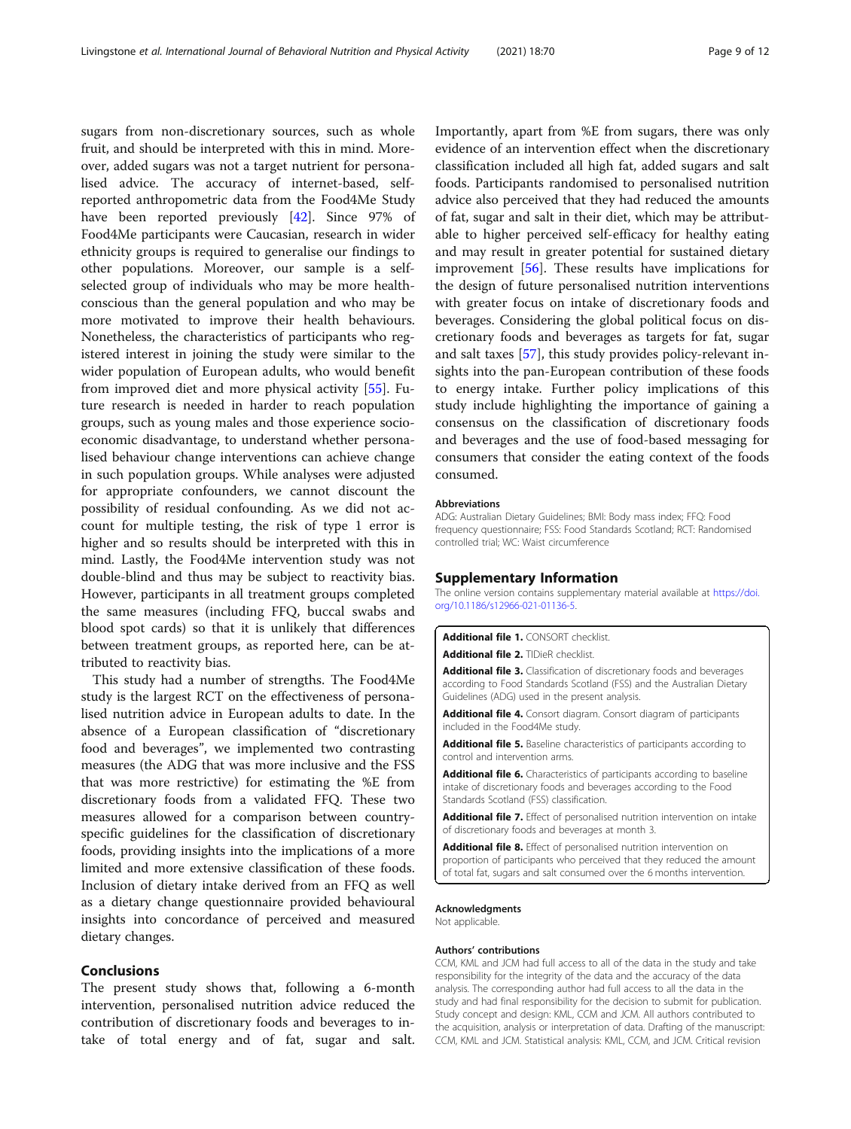<span id="page-8-0"></span>sugars from non-discretionary sources, such as whole fruit, and should be interpreted with this in mind. Moreover, added sugars was not a target nutrient for personalised advice. The accuracy of internet-based, selfreported anthropometric data from the Food4Me Study have been reported previously [[42](#page-10-0)]. Since 97% of Food4Me participants were Caucasian, research in wider ethnicity groups is required to generalise our findings to other populations. Moreover, our sample is a selfselected group of individuals who may be more healthconscious than the general population and who may be more motivated to improve their health behaviours. Nonetheless, the characteristics of participants who registered interest in joining the study were similar to the wider population of European adults, who would benefit from improved diet and more physical activity [[55\]](#page-11-0). Future research is needed in harder to reach population groups, such as young males and those experience socioeconomic disadvantage, to understand whether personalised behaviour change interventions can achieve change in such population groups. While analyses were adjusted for appropriate confounders, we cannot discount the possibility of residual confounding. As we did not account for multiple testing, the risk of type 1 error is higher and so results should be interpreted with this in mind. Lastly, the Food4Me intervention study was not double-blind and thus may be subject to reactivity bias. However, participants in all treatment groups completed the same measures (including FFQ, buccal swabs and blood spot cards) so that it is unlikely that differences between treatment groups, as reported here, can be attributed to reactivity bias.

This study had a number of strengths. The Food4Me study is the largest RCT on the effectiveness of personalised nutrition advice in European adults to date. In the absence of a European classification of "discretionary food and beverages", we implemented two contrasting measures (the ADG that was more inclusive and the FSS that was more restrictive) for estimating the %E from discretionary foods from a validated FFQ. These two measures allowed for a comparison between countryspecific guidelines for the classification of discretionary foods, providing insights into the implications of a more limited and more extensive classification of these foods. Inclusion of dietary intake derived from an FFQ as well as a dietary change questionnaire provided behavioural insights into concordance of perceived and measured dietary changes.

# Conclusions

The present study shows that, following a 6-month intervention, personalised nutrition advice reduced the contribution of discretionary foods and beverages to intake of total energy and of fat, sugar and salt.

Importantly, apart from %E from sugars, there was only evidence of an intervention effect when the discretionary classification included all high fat, added sugars and salt foods. Participants randomised to personalised nutrition advice also perceived that they had reduced the amounts of fat, sugar and salt in their diet, which may be attributable to higher perceived self-efficacy for healthy eating and may result in greater potential for sustained dietary improvement [[56](#page-11-0)]. These results have implications for the design of future personalised nutrition interventions with greater focus on intake of discretionary foods and beverages. Considering the global political focus on discretionary foods and beverages as targets for fat, sugar and salt taxes [[57\]](#page-11-0), this study provides policy-relevant insights into the pan-European contribution of these foods to energy intake. Further policy implications of this study include highlighting the importance of gaining a consensus on the classification of discretionary foods and beverages and the use of food-based messaging for consumers that consider the eating context of the foods consumed.

#### Abbreviations

ADG: Australian Dietary Guidelines; BMI: Body mass index; FFQ: Food frequency questionnaire; FSS: Food Standards Scotland; RCT: Randomised controlled trial; WC: Waist circumference

#### Supplementary Information

The online version contains supplementary material available at [https://doi.](https://doi.org/10.1186/s12966-021-01136-5) [org/10.1186/s12966-021-01136-5.](https://doi.org/10.1186/s12966-021-01136-5)

#### Additional file 1. CONSORT checklist.

Additional file 2. TIDieR checklist.

Additional file 3. Classification of discretionary foods and beverages according to Food Standards Scotland (FSS) and the Australian Dietary Guidelines (ADG) used in the present analysis.

Additional file 4. Consort diagram. Consort diagram of participants included in the Food4Me study.

Additional file 5. Baseline characteristics of participants according to control and intervention arms.

Additional file 6. Characteristics of participants according to baseline intake of discretionary foods and beverages according to the Food Standards Scotland (FSS) classification.

Additional file 7. Effect of personalised nutrition intervention on intake of discretionary foods and beverages at month 3.

Additional file 8. Effect of personalised nutrition intervention on proportion of participants who perceived that they reduced the amount of total fat, sugars and salt consumed over the 6 months intervention.

#### Acknowledgments

Not applicable.

#### Authors' contributions

CCM, KML and JCM had full access to all of the data in the study and take responsibility for the integrity of the data and the accuracy of the data analysis. The corresponding author had full access to all the data in the study and had final responsibility for the decision to submit for publication. Study concept and design: KML, CCM and JCM. All authors contributed to the acquisition, analysis or interpretation of data. Drafting of the manuscript: CCM, KML and JCM. Statistical analysis: KML, CCM, and JCM. Critical revision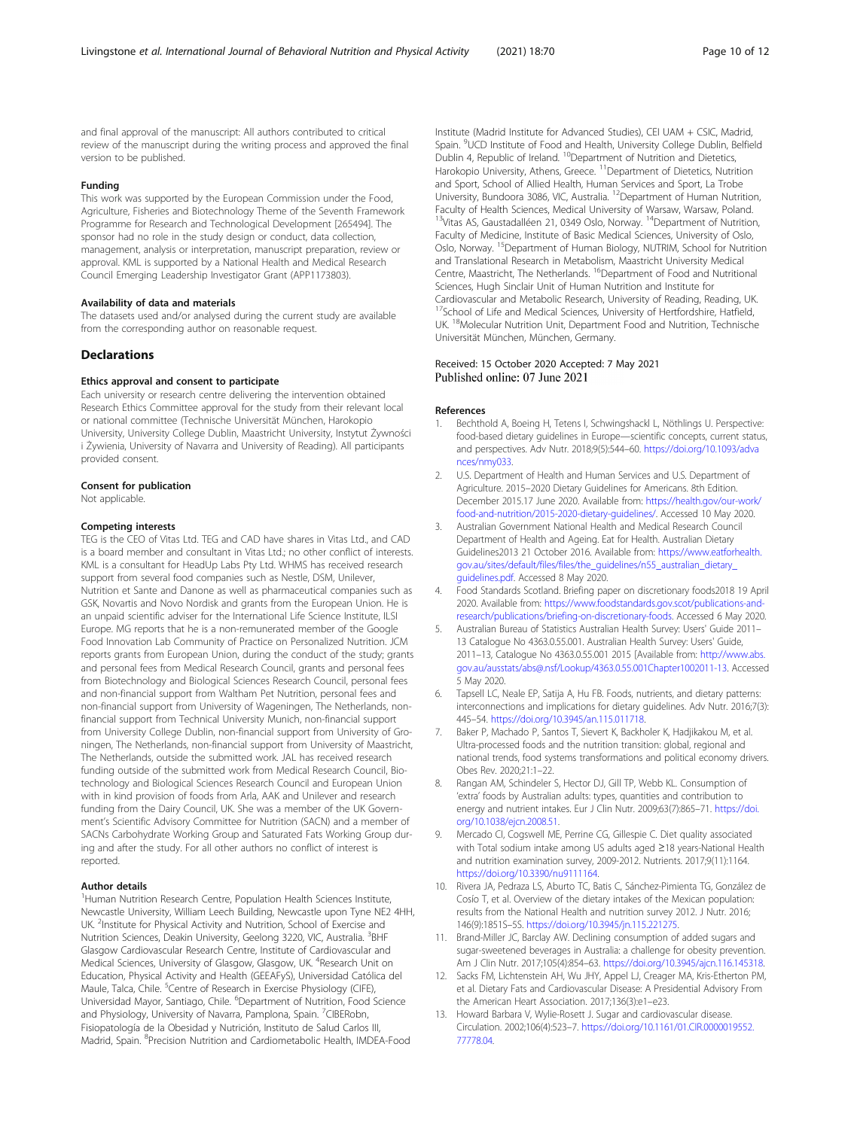<span id="page-9-0"></span>and final approval of the manuscript: All authors contributed to critical review of the manuscript during the writing process and approved the final version to be published.

# Funding

This work was supported by the European Commission under the Food, Agriculture, Fisheries and Biotechnology Theme of the Seventh Framework Programme for Research and Technological Development [265494]. The sponsor had no role in the study design or conduct, data collection, management, analysis or interpretation, manuscript preparation, review or approval. KML is supported by a National Health and Medical Research Council Emerging Leadership Investigator Grant (APP1173803).

#### Availability of data and materials

The datasets used and/or analysed during the current study are available from the corresponding author on reasonable request.

#### **Declarations**

#### Ethics approval and consent to participate

Each university or research centre delivering the intervention obtained Research Ethics Committee approval for the study from their relevant local or national committee (Technische Universität München, Harokopio University, University College Dublin, Maastricht University, Instytut Żywności i Żywienia, University of Navarra and University of Reading). All participants provided consent.

#### Consent for publication

Not applicable.

#### Competing interests

TEG is the CEO of Vitas Ltd. TEG and CAD have shares in Vitas Ltd., and CAD is a board member and consultant in Vitas Ltd.; no other conflict of interests. KML is a consultant for HeadUp Labs Pty Ltd. WHMS has received research support from several food companies such as Nestle, DSM, Unilever, Nutrition et Sante and Danone as well as pharmaceutical companies such as GSK, Novartis and Novo Nordisk and grants from the European Union. He is an unpaid scientific adviser for the International Life Science Institute, ILSI Europe. MG reports that he is a non-remunerated member of the Google Food Innovation Lab Community of Practice on Personalized Nutrition. JCM reports grants from European Union, during the conduct of the study; grants and personal fees from Medical Research Council, grants and personal fees from Biotechnology and Biological Sciences Research Council, personal fees and non-financial support from Waltham Pet Nutrition, personal fees and non-financial support from University of Wageningen, The Netherlands, nonfinancial support from Technical University Munich, non-financial support from University College Dublin, non-financial support from University of Groningen, The Netherlands, non-financial support from University of Maastricht, The Netherlands, outside the submitted work. JAL has received research funding outside of the submitted work from Medical Research Council, Biotechnology and Biological Sciences Research Council and European Union with in kind provision of foods from Arla, AAK and Unilever and research funding from the Dairy Council, UK. She was a member of the UK Government's Scientific Advisory Committee for Nutrition (SACN) and a member of SACNs Carbohydrate Working Group and Saturated Fats Working Group during and after the study. For all other authors no conflict of interest is reported.

#### Author details

<sup>1</sup> Human Nutrition Research Centre, Population Health Sciences Institute, Newcastle University, William Leech Building, Newcastle upon Tyne NE2 4HH, UK. <sup>2</sup>Institute for Physical Activity and Nutrition, School of Exercise and Nutrition Sciences, Deakin University, Geelong 3220, VIC, Australia. <sup>3</sup>BHF Glasgow Cardiovascular Research Centre, Institute of Cardiovascular and Medical Sciences, University of Glasgow, Glasgow, UK. <sup>4</sup>Research Unit on Education, Physical Activity and Health (GEEAFyS), Universidad Católica del Maule, Talca, Chile. <sup>5</sup>Centre of Research in Exercise Physiology (CIFE), Universidad Mayor, Santiago, Chile. <sup>6</sup>Department of Nutrition, Food Science and Physiology, University of Navarra, Pamplona, Spain. <sup>7</sup>CIBERobn, Fisiopatología de la Obesidad y Nutrición, Instituto de Salud Carlos III, Madrid, Spain. <sup>8</sup> Precision Nutrition and Cardiometabolic Health, IMDEA-Food

Institute (Madrid Institute for Advanced Studies), CEI UAM + CSIC, Madrid, Spain. <sup>9</sup>UCD Institute of Food and Health, University College Dublin, Belfield Dublin 4, Republic of Ireland. <sup>10</sup>Department of Nutrition and Dietetics, Harokopio University, Athens, Greece. <sup>11</sup>Department of Dietetics, Nutrition and Sport, School of Allied Health, Human Services and Sport, La Trobe University, Bundoora 3086, VIC, Australia. 12Department of Human Nutrition, Faculty of Health Sciences, Medical University of Warsaw, Warsaw, Poland. <sup>13</sup>Vitas AS, Gaustadalléen 21, 0349 Oslo, Norway. <sup>14</sup>Department of Nutrition, Faculty of Medicine, Institute of Basic Medical Sciences, University of Oslo, Oslo, Norway. 15Department of Human Biology, NUTRIM, School for Nutrition and Translational Research in Metabolism, Maastricht University Medical Centre, Maastricht, The Netherlands. <sup>16</sup>Department of Food and Nutritional Sciences, Hugh Sinclair Unit of Human Nutrition and Institute for Cardiovascular and Metabolic Research, University of Reading, Reading, UK. <sup>17</sup>School of Life and Medical Sciences, University of Hertfordshire, Hatfield, UK. 18Molecular Nutrition Unit, Department Food and Nutrition, Technische Universität München, München, Germany.

#### Received: 15 October 2020 Accepted: 7 May 2021 Published online: 07 June 2021

#### References

- 1. Bechthold A, Boeing H, Tetens I, Schwingshackl L, Nöthlings U. Perspective: food-based dietary guidelines in Europe—scientific concepts, current status, and perspectives. Adv Nutr. 2018;9(5):544–60. [https://doi.org/10.1093/adva](https://doi.org/10.1093/advances/nmy033) [nces/nmy033](https://doi.org/10.1093/advances/nmy033).
- 2. U.S. Department of Health and Human Services and U.S. Department of Agriculture. 2015–2020 Dietary Guidelines for Americans. 8th Edition. December 2015.17 June 2020. Available from: [https://health.gov/our-work/](https://health.gov/our-work/food-and-nutrition/2015-2020-dietary-guidelines/) [food-and-nutrition/2015-2020-dietary-guidelines/](https://health.gov/our-work/food-and-nutrition/2015-2020-dietary-guidelines/). Accessed 10 May 2020.
- 3. Australian Government National Health and Medical Research Council Department of Health and Ageing. Eat for Health. Australian Dietary Guidelines2013 21 October 2016. Available from: [https://www.eatforhealth.](https://www.eatforhealth.gov.au/sites/default/files/files/the_guidelines/n55_australian_dietary_guidelines.pdf) [gov.au/sites/default/files/files/the\\_guidelines/n55\\_australian\\_dietary\\_](https://www.eatforhealth.gov.au/sites/default/files/files/the_guidelines/n55_australian_dietary_guidelines.pdf) [guidelines.pdf.](https://www.eatforhealth.gov.au/sites/default/files/files/the_guidelines/n55_australian_dietary_guidelines.pdf) Accessed 8 May 2020.
- 4. Food Standards Scotland. Briefing paper on discretionary foods2018 19 April 2020. Available from: [https://www.foodstandards.gov.scot/publications-and](https://www.foodstandards.gov.scot/publications-and-research/publications/briefing-on-discretionary-foods)[research/publications/briefing-on-discretionary-foods](https://www.foodstandards.gov.scot/publications-and-research/publications/briefing-on-discretionary-foods). Accessed 6 May 2020.
- 5. Australian Bureau of Statistics Australian Health Survey: Users' Guide 2011– 13 Catalogue No 4363.0.55.001. Australian Health Survey: Users' Guide, 2011–13, Catalogue No 4363.0.55.001 2015 [Available from: [http://www.abs.](http://www.abs.gov.au/ausstats/abs@.nsf/Lookup/4363.0.55.001Chapter1002011-13) [gov.au/ausstats/abs@.nsf/Lookup/4363.0.55.001Chapter1002011-13.](http://www.abs.gov.au/ausstats/abs@.nsf/Lookup/4363.0.55.001Chapter1002011-13) Accessed 5 May 2020.
- 6. Tapsell LC, Neale EP, Satija A, Hu FB. Foods, nutrients, and dietary patterns: interconnections and implications for dietary guidelines. Adv Nutr. 2016;7(3): 445–54. [https://doi.org/10.3945/an.115.011718.](https://doi.org/10.3945/an.115.011718)
- 7. Baker P, Machado P, Santos T, Sievert K, Backholer K, Hadjikakou M, et al. Ultra-processed foods and the nutrition transition: global, regional and national trends, food systems transformations and political economy drivers. Obes Rev. 2020;21:1–22.
- 8. Rangan AM, Schindeler S, Hector DJ, Gill TP, Webb KL. Consumption of 'extra' foods by Australian adults: types, quantities and contribution to energy and nutrient intakes. Eur J Clin Nutr. 2009;63(7):865-71. [https://doi.](https://doi.org/10.1038/ejcn.2008.51) [org/10.1038/ejcn.2008.51.](https://doi.org/10.1038/ejcn.2008.51)
- 9. Mercado CI, Cogswell ME, Perrine CG, Gillespie C. Diet quality associated with Total sodium intake among US adults aged ≥18 years-National Health and nutrition examination survey, 2009-2012. Nutrients. 2017;9(11):1164. <https://doi.org/10.3390/nu9111164>.
- 10. Rivera JA, Pedraza LS, Aburto TC, Batis C, Sánchez-Pimienta TG, González de Cosío T, et al. Overview of the dietary intakes of the Mexican population: results from the National Health and nutrition survey 2012. J Nutr. 2016; 146(9):1851S–5S. <https://doi.org/10.3945/jn.115.221275>.
- 11. Brand-Miller JC, Barclay AW. Declining consumption of added sugars and sugar-sweetened beverages in Australia: a challenge for obesity prevention. Am J Clin Nutr. 2017;105(4):854–63. <https://doi.org/10.3945/ajcn.116.145318>.
- 12. Sacks FM, Lichtenstein AH, Wu JHY, Appel LJ, Creager MA, Kris-Etherton PM, et al. Dietary Fats and Cardiovascular Disease: A Presidential Advisory From the American Heart Association. 2017;136(3):e1–e23.
- 13. Howard Barbara V, Wylie-Rosett J. Sugar and cardiovascular disease. Circulation. 2002;106(4):523–7. [https://doi.org/10.1161/01.CIR.0000019552.](https://doi.org/10.1161/01.CIR.0000019552.77778.04) [77778.04.](https://doi.org/10.1161/01.CIR.0000019552.77778.04)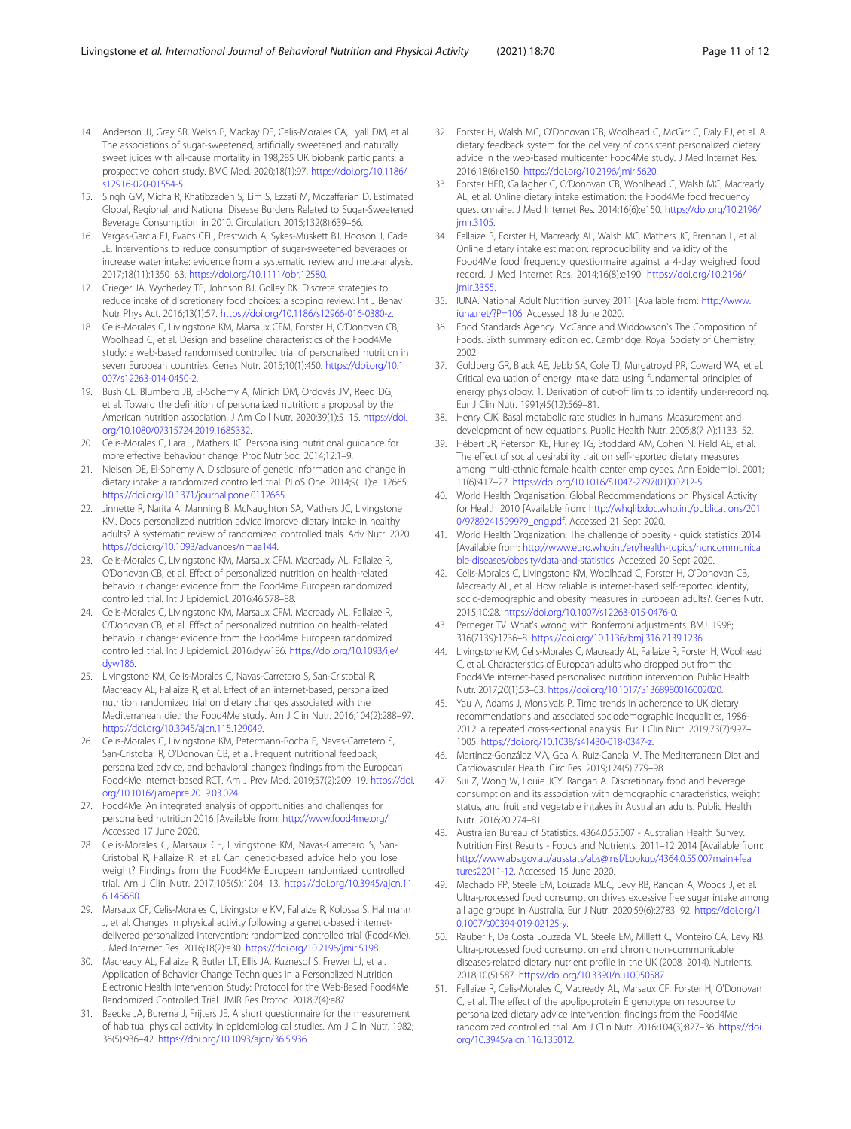- <span id="page-10-0"></span>14. Anderson JJ, Gray SR, Welsh P, Mackay DF, Celis-Morales CA, Lyall DM, et al. The associations of sugar-sweetened, artificially sweetened and naturally sweet juices with all-cause mortality in 198,285 UK biobank participants: a prospective cohort study. BMC Med. 2020;18(1):97. [https://doi.org/10.1186/](https://doi.org/10.1186/s12916-020-01554-5) [s12916-020-01554-5](https://doi.org/10.1186/s12916-020-01554-5).
- 15. Singh GM, Micha R, Khatibzadeh S, Lim S, Ezzati M, Mozaffarian D. Estimated Global, Regional, and National Disease Burdens Related to Sugar-Sweetened Beverage Consumption in 2010. Circulation. 2015;132(8):639–66.
- 16. Vargas-Garcia EJ, Evans CEL, Prestwich A, Sykes-Muskett BJ, Hooson J, Cade JE. Interventions to reduce consumption of sugar-sweetened beverages or increase water intake: evidence from a systematic review and meta-analysis. 2017;18(11):1350–63. [https://doi.org/10.1111/obr.12580.](https://doi.org/10.1111/obr.12580)
- 17. Grieger JA, Wycherley TP, Johnson BJ, Golley RK. Discrete strategies to reduce intake of discretionary food choices: a scoping review. Int J Behav Nutr Phys Act. 2016;13(1):57. <https://doi.org/10.1186/s12966-016-0380-z>.
- 18. Celis-Morales C, Livingstone KM, Marsaux CFM, Forster H, O'Donovan CB, Woolhead C, et al. Design and baseline characteristics of the Food4Me study: a web-based randomised controlled trial of personalised nutrition in seven European countries. Genes Nutr. 2015;10(1):450. [https://doi.org/10.1](https://doi.org/10.1007/s12263-014-0450-2) [007/s12263-014-0450-2.](https://doi.org/10.1007/s12263-014-0450-2)
- 19. Bush CL, Blumberg JB, El-Sohemy A, Minich DM, Ordovás JM, Reed DG, et al. Toward the definition of personalized nutrition: a proposal by the American nutrition association. J Am Coll Nutr. 2020;39(1):5–15. [https://doi.](https://doi.org/10.1080/07315724.2019.1685332) [org/10.1080/07315724.2019.1685332](https://doi.org/10.1080/07315724.2019.1685332).
- Celis-Morales C, Lara J, Mathers JC. Personalising nutritional guidance for more effective behaviour change. Proc Nutr Soc. 2014;12:1–9.
- 21. Nielsen DE, El-Sohemy A. Disclosure of genetic information and change in dietary intake: a randomized controlled trial. PLoS One. 2014;9(11):e112665. [https://doi.org/10.1371/journal.pone.0112665.](https://doi.org/10.1371/journal.pone.0112665)
- 22. Jinnette R, Narita A, Manning B, McNaughton SA, Mathers JC, Livingstone KM. Does personalized nutrition advice improve dietary intake in healthy adults? A systematic review of randomized controlled trials. Adv Nutr. 2020. [https://doi.org/10.1093/advances/nmaa144.](https://doi.org/10.1093/advances/nmaa144)
- 23. Celis-Morales C, Livingstone KM, Marsaux CFM, Macready AL, Fallaize R, O'Donovan CB, et al. Effect of personalized nutrition on health-related behaviour change: evidence from the Food4me European randomized controlled trial. Int J Epidemiol. 2016;46:578–88.
- 24. Celis-Morales C, Livingstone KM, Marsaux CFM, Macready AL, Fallaize R, O'Donovan CB, et al. Effect of personalized nutrition on health-related behaviour change: evidence from the Food4me European randomized controlled trial. Int J Epidemiol. 2016:dyw186. [https://doi.org/10.1093/ije/](https://doi.org/10.1093/ije/dyw186) [dyw186.](https://doi.org/10.1093/ije/dyw186)
- 25. Livingstone KM, Celis-Morales C, Navas-Carretero S, San-Cristobal R, Macready AL, Fallaize R, et al. Effect of an internet-based, personalized nutrition randomized trial on dietary changes associated with the Mediterranean diet: the Food4Me study. Am J Clin Nutr. 2016;104(2):288–97. [https://doi.org/10.3945/ajcn.115.129049.](https://doi.org/10.3945/ajcn.115.129049)
- 26. Celis-Morales C, Livingstone KM, Petermann-Rocha F, Navas-Carretero S, San-Cristobal R, O'Donovan CB, et al. Frequent nutritional feedback, personalized advice, and behavioral changes: findings from the European Food4Me internet-based RCT. Am J Prev Med. 2019;57(2):209–19. [https://doi.](https://doi.org/10.1016/j.amepre.2019.03.024) [org/10.1016/j.amepre.2019.03.024.](https://doi.org/10.1016/j.amepre.2019.03.024)
- 27. Food4Me. An integrated analysis of opportunities and challenges for personalised nutrition 2016 [Available from: [http://www.food4me.org/.](http://www.food4me.org/) Accessed 17 June 2020.
- 28. Celis-Morales C, Marsaux CF, Livingstone KM, Navas-Carretero S, San-Cristobal R, Fallaize R, et al. Can genetic-based advice help you lose weight? Findings from the Food4Me European randomized controlled trial. Am J Clin Nutr. 2017;105(5):1204–13. [https://doi.org/10.3945/ajcn.11](https://doi.org/10.3945/ajcn.116.145680) [6.145680.](https://doi.org/10.3945/ajcn.116.145680)
- 29. Marsaux CF, Celis-Morales C, Livingstone KM, Fallaize R, Kolossa S, Hallmann J, et al. Changes in physical activity following a genetic-based internetdelivered personalized intervention: randomized controlled trial (Food4Me). J Med Internet Res. 2016;18(2):e30. [https://doi.org/10.2196/jmir.5198.](https://doi.org/10.2196/jmir.5198)
- 30. Macready AL, Fallaize R, Butler LT, Ellis JA, Kuznesof S, Frewer LJ, et al. Application of Behavior Change Techniques in a Personalized Nutrition Electronic Health Intervention Study: Protocol for the Web-Based Food4Me Randomized Controlled Trial. JMIR Res Protoc. 2018;7(4):e87.
- 31. Baecke JA, Burema J, Frijters JE. A short questionnaire for the measurement of habitual physical activity in epidemiological studies. Am J Clin Nutr. 1982; 36(5):936–42. [https://doi.org/10.1093/ajcn/36.5.936.](https://doi.org/10.1093/ajcn/36.5.936)
- 32. Forster H, Walsh MC, O'Donovan CB, Woolhead C, McGirr C, Daly EJ, et al. A dietary feedback system for the delivery of consistent personalized dietary advice in the web-based multicenter Food4Me study. J Med Internet Res. 2016;18(6):e150. [https://doi.org/10.2196/jmir.5620.](https://doi.org/10.2196/jmir.5620)
- 33. Forster HFR, Gallagher C, O'Donovan CB, Woolhead C, Walsh MC, Macready AL, et al. Online dietary intake estimation: the Food4Me food frequency questionnaire. J Med Internet Res. 2014;16(6):e150. [https://doi.org/10.2196/](https://doi.org/10.2196/jmir.3105) [jmir.3105](https://doi.org/10.2196/jmir.3105).
- 34. Fallaize R, Forster H, Macready AL, Walsh MC, Mathers JC, Brennan L, et al. Online dietary intake estimation: reproducibility and validity of the Food4Me food frequency questionnaire against a 4-day weighed food record. J Med Internet Res. 2014;16(8):e190. [https://doi.org/10.2196/](https://doi.org/10.2196/jmir.3355) [jmir.3355](https://doi.org/10.2196/jmir.3355).
- 35. IUNA. National Adult Nutrition Survey 2011 [Available from: [http://www.](http://www.iuna.net/?P=106) [iuna.net/?P=106.](http://www.iuna.net/?P=106) Accessed 18 June 2020.
- 36. Food Standards Agency. McCance and Widdowson's The Composition of Foods. Sixth summary edition ed. Cambridge: Royal Society of Chemistry; 2002.
- 37. Goldberg GR, Black AE, Jebb SA, Cole TJ, Murgatroyd PR, Coward WA, et al. Critical evaluation of energy intake data using fundamental principles of energy physiology: 1. Derivation of cut-off limits to identify under-recording. Eur J Clin Nutr. 1991;45(12):569–81.
- 38. Henry CJK. Basal metabolic rate studies in humans: Measurement and development of new equations. Public Health Nutr. 2005;8(7 A):1133–52.
- Hébert JR, Peterson KE, Hurley TG, Stoddard AM, Cohen N, Field AE, et al. The effect of social desirability trait on self-reported dietary measures among multi-ethnic female health center employees. Ann Epidemiol. 2001; 11(6):417–27. [https://doi.org/10.1016/S1047-2797\(01\)00212-5.](https://doi.org/10.1016/S1047-2797(01)00212-5)
- 40. World Health Organisation. Global Recommendations on Physical Activity for Health 2010 [Available from: [http://whqlibdoc.who.int/publications/201](http://whqlibdoc.who.int/publications/2010/9789241599979_eng.pdf) [0/9789241599979\\_eng.pdf](http://whqlibdoc.who.int/publications/2010/9789241599979_eng.pdf). Accessed 21 Sept 2020.
- 41. World Health Organization. The challenge of obesity quick statistics 2014 [Available from: [http://www.euro.who.int/en/health-topics/noncommunica](http://www.euro.who.int/en/health-topics/noncommunicable-diseases/obesity/data-and-statistics) [ble-diseases/obesity/data-and-statistics.](http://www.euro.who.int/en/health-topics/noncommunicable-diseases/obesity/data-and-statistics) Accessed 20 Sept 2020.
- 42. Celis-Morales C, Livingstone KM, Woolhead C, Forster H, O'Donovan CB, Macready AL, et al. How reliable is internet-based self-reported identity, socio-demographic and obesity measures in European adults?. Genes Nutr. 2015;10:28. <https://doi.org/10.1007/s12263-015-0476-0>.
- 43. Perneger TV. What's wrong with Bonferroni adjustments. BMJ. 1998; 316(7139):1236–8. [https://doi.org/10.1136/bmj.316.7139.1236.](https://doi.org/10.1136/bmj.316.7139.1236)
- 44. Livingstone KM, Celis-Morales C, Macready AL, Fallaize R, Forster H, Woolhead C, et al. Characteristics of European adults who dropped out from the Food4Me internet-based personalised nutrition intervention. Public Health Nutr. 2017;20(1):53–63. <https://doi.org/10.1017/S1368980016002020>.
- 45. Yau A, Adams J, Monsivais P. Time trends in adherence to UK dietary recommendations and associated sociodemographic inequalities, 1986- 2012: a repeated cross-sectional analysis. Eur J Clin Nutr. 2019;73(7):997– 1005. <https://doi.org/10.1038/s41430-018-0347-z>.
- 46. Martínez-González MA, Gea A, Ruiz-Canela M. The Mediterranean Diet and Cardiovascular Health. Circ Res. 2019;124(5):779–98.
- 47. Sui Z, Wong W, Louie JCY, Rangan A. Discretionary food and beverage consumption and its association with demographic characteristics, weight status, and fruit and vegetable intakes in Australian adults. Public Health Nutr. 2016;20:274–81.
- 48. Australian Bureau of Statistics. 4364.0.55.007 Australian Health Survey: Nutrition First Results - Foods and Nutrients, 2011–12 2014 [Available from: [http://www.abs.gov.au/ausstats/abs@.nsf/Lookup/4364.0.55.007main+fea](http://www.abs.gov.au/ausstats/abs@.nsf/Lookup/4364.0.55.007main+features22011-12) [tures22011-12.](http://www.abs.gov.au/ausstats/abs@.nsf/Lookup/4364.0.55.007main+features22011-12) Accessed 15 June 2020.
- 49. Machado PP, Steele EM, Louzada MLC, Levy RB, Rangan A, Woods J, et al. Ultra-processed food consumption drives excessive free sugar intake among all age groups in Australia. Eur J Nutr. 2020;59(6):2783–92. [https://doi.org/1](https://doi.org/10.1007/s00394-019-02125-y) [0.1007/s00394-019-02125-y.](https://doi.org/10.1007/s00394-019-02125-y)
- 50. Rauber F, Da Costa Louzada ML, Steele EM, Millett C, Monteiro CA, Levy RB. Ultra-processed food consumption and chronic non-communicable diseases-related dietary nutrient profile in the UK (2008–2014). Nutrients. 2018;10(5):587. <https://doi.org/10.3390/nu10050587>.
- 51. Fallaize R, Celis-Morales C, Macready AL, Marsaux CF, Forster H, O'Donovan C, et al. The effect of the apolipoprotein E genotype on response to personalized dietary advice intervention: findings from the Food4Me randomized controlled trial. Am J Clin Nutr. 2016;104(3):827–36. [https://doi.](https://doi.org/10.3945/ajcn.116.135012) [org/10.3945/ajcn.116.135012.](https://doi.org/10.3945/ajcn.116.135012)